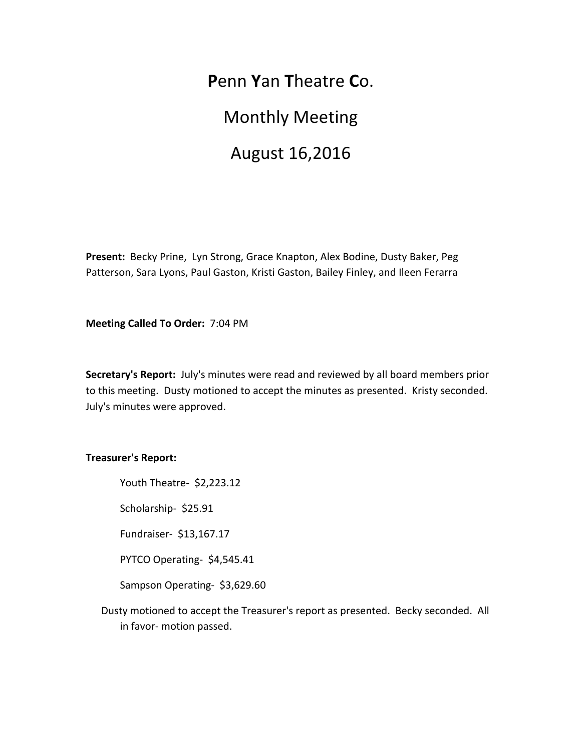**P**enn **Y**an **T**heatre **C**o.

**Monthly Meeting** 

# August 16,2016

Present: Becky Prine, Lyn Strong, Grace Knapton, Alex Bodine, Dusty Baker, Peg Patterson, Sara Lyons, Paul Gaston, Kristi Gaston, Bailey Finley, and Ileen Ferarra

**Meeting Called To Order: 7:04 PM** 

**Secretary's Report:** July's minutes were read and reviewed by all board members prior to this meeting. Dusty motioned to accept the minutes as presented. Kristy seconded. July's minutes were approved.

### **Treasurer's Report:**

Youth Theatre- \$2,223.12

Scholarship- \$25.91

Fundraiser- \$13,167.17

PYTCO Operating- \$4,545.41

Sampson Operating- \$3,629.60

Dusty motioned to accept the Treasurer's report as presented. Becky seconded. All in favor- motion passed.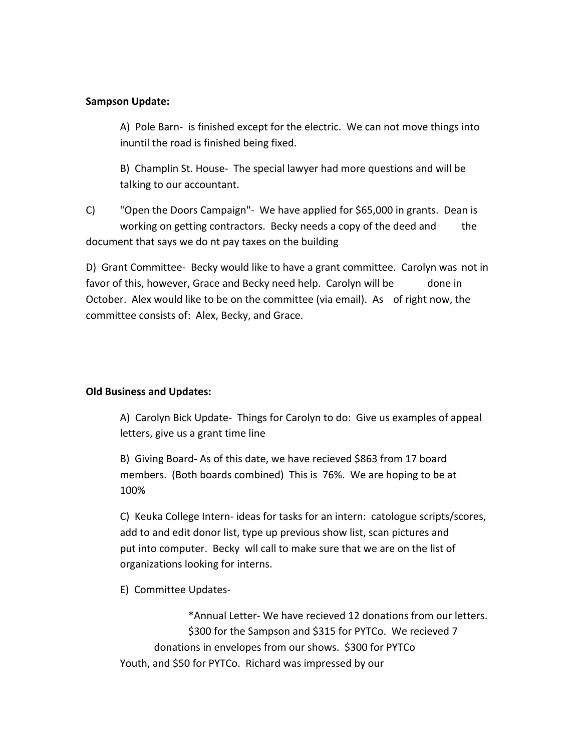## **Sampson Update:**

A) Pole Barn- is finished except for the electric. We can not move things into inuntil the road is finished being fixed.

B) Champlin St. House- The special lawyer had more questions and will be talking to our accountant.

C) "Open the Doors Campaign"- We have applied for \$65,000 in grants. Dean is working on getting contractors. Becky needs a copy of the deed and the document that says we do nt pay taxes on the building

D) Grant Committee- Becky would like to have a grant committee. Carolyn was not in favor of this, however, Grace and Becky need help. Carolyn will be done in October. Alex would like to be on the committee (via email). As of right now, the committee consists of: Alex, Becky, and Grace.

### **Old Business and Updates:**

A) Carolyn Bick Update- Things for Carolyn to do: Give us examples of appeal letters, give us a grant time line

B) Giving Board- As of this date, we have recieved \$863 from 17 board members. (Both boards combined) This is 76%. We are hoping to be at 100% 

C) Keuka College Intern- ideas for tasks for an intern: catologue scripts/scores, add to and edit donor list, type up previous show list, scan pictures and put into computer. Becky wll call to make sure that we are on the list of organizations looking for interns.

E) Committee Updates-

\*Annual Letter- We have recieved 12 donations from our letters. \$300 for the Sampson and \$315 for PYTCo. We recieved 7 donations in envelopes from our shows. \$300 for PYTCo Youth, and \$50 for PYTCo. Richard was impressed by our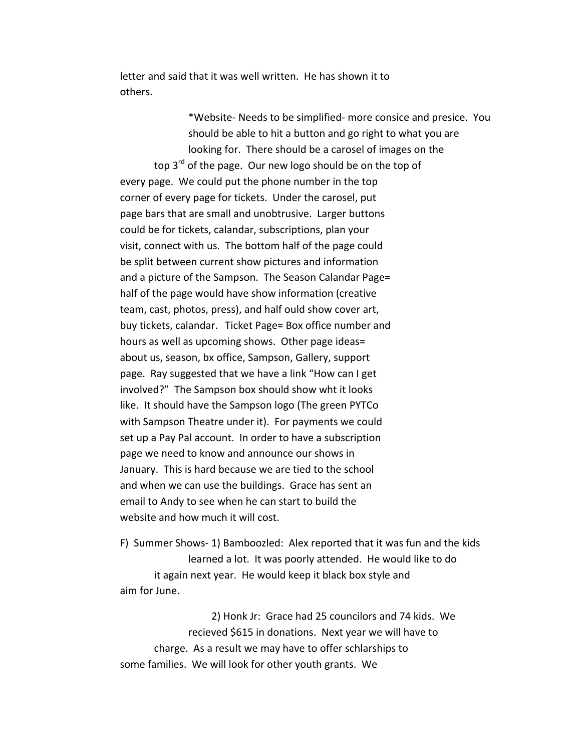letter and said that it was well written. He has shown it to others.

\*Website- Needs to be simplified- more consice and presice. You should be able to hit a button and go right to what you are looking for. There should be a carosel of images on the top  $3^{rd}$  of the page. Our new logo should be on the top of every page. We could put the phone number in the top corner of every page for tickets. Under the carosel, put page bars that are small and unobtrusive. Larger buttons could be for tickets, calandar, subscriptions, plan your visit, connect with us. The bottom half of the page could be split between current show pictures and information and a picture of the Sampson. The Season Calandar Page= half of the page would have show information (creative team, cast, photos, press), and half ould show cover art, buy tickets, calandar. Ticket Page= Box office number and hours as well as upcoming shows. Other page ideas= about us, season, bx office, Sampson, Gallery, support page. Ray suggested that we have a link "How can I get involved?" The Sampson box should show wht it looks like. It should have the Sampson logo (The green PYTCo with Sampson Theatre under it). For payments we could set up a Pay Pal account. In order to have a subscription page we need to know and announce our shows in January. This is hard because we are tied to the school and when we can use the buildings. Grace has sent an email to Andy to see when he can start to build the website and how much it will cost.

F) Summer Shows- 1) Bamboozled: Alex reported that it was fun and the kids learned a lot. It was poorly attended. He would like to do it again next year. He would keep it black box style and aim for June.

2) Honk Jr: Grace had 25 councilors and 74 kids. We recieved \$615 in donations. Next year we will have to charge. As a result we may have to offer schlarships to some families. We will look for other youth grants. We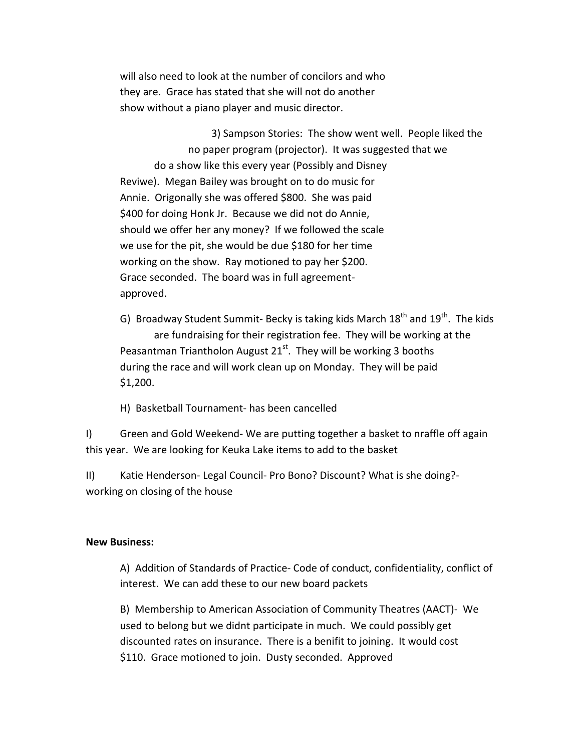will also need to look at the number of concilors and who they are. Grace has stated that she will not do another show without a piano player and music director.

3) Sampson Stories: The show went well. People liked the no paper program (projector). It was suggested that we do a show like this every year (Possibly and Disney Reviwe). Megan Bailey was brought on to do music for Annie. Origonally she was offered \$800. She was paid \$400 for doing Honk Jr. Because we did not do Annie, should we offer her any money? If we followed the scale we use for the pit, she would be due \$180 for her time working on the show. Ray motioned to pay her \$200. Grace seconded. The board was in full agreementapproved.

G) Broadway Student Summit- Becky is taking kids March  $18<sup>th</sup>$  and  $19<sup>th</sup>$ . The kids are fundraising for their registration fee. They will be working at the Peasantman Triantholon August  $21^{st}$ . They will be working 3 booths during the race and will work clean up on Monday. They will be paid \$1,200.

H) Basketball Tournament- has been cancelled

I) Green and Gold Weekend- We are putting together a basket to nraffle off again this year. We are looking for Keuka Lake items to add to the basket

II) Katie Henderson- Legal Council- Pro Bono? Discount? What is she doing?working on closing of the house

#### **New Business:**

A) Addition of Standards of Practice- Code of conduct, confidentiality, conflict of interest. We can add these to our new board packets

B) Membership to American Association of Community Theatres (AACT)- We used to belong but we didnt participate in much. We could possibly get discounted rates on insurance. There is a benifit to joining. It would cost \$110. Grace motioned to join. Dusty seconded. Approved